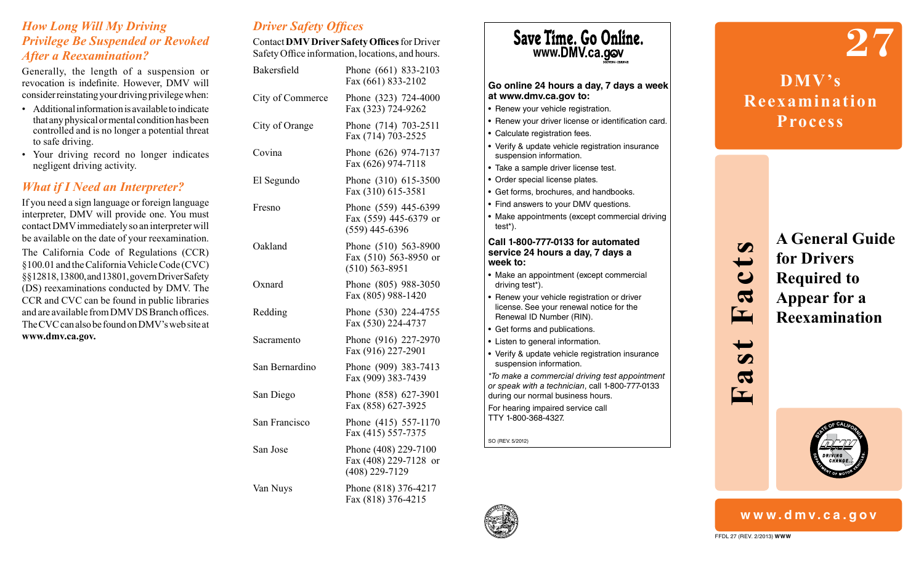#### *How Long Will My Driving Privilege Be Suspended or Revoked After a Reexamination?*

Generally, the length of a suspension or revocation is indefinite. However, DMV will consider reinstating your driving privilege when:

- Additional information is available to indicate that any physical or mental condition has been controlled and is no longer a potential threat to safe driving.
- Your driving record no longer indicates negligent driving activity.

## *What if I Need an Interpreter?*

If you need a sign language or foreign language interpreter, DMV will provide one. You must contact DMV immediately so an interpreter will be available on the date of your reexamination.

The California Code of Regulations (CCR) §100.01 and the California Vehicle Code (CVC) §§12818, 13800, and 13801, govern Driver Safety (DS) reexaminations conducted by DMV. The CCR and CVC can be found in public libraries and are available from DMV DS Branch offices. The CVC can also be found on DMV's web site at **www.dmv.ca.gov.**

|  |  | <b>Driver Safety Offices</b> |
|--|--|------------------------------|
|--|--|------------------------------|

Contact **DMV Driver Safety Offices** for Driver Safety Office information, locations, and hours.

| Bakersfield      | Phone (661) 833-2103<br>Fax (661) 833-2102                          |
|------------------|---------------------------------------------------------------------|
| City of Commerce | Phone (323) 724-4000<br>Fax (323) 724-9262                          |
| City of Orange   | Phone (714) 703-2511<br>Fax (714) 703-2525                          |
| Covina           | Phone (626) 974-7137<br>Fax (626) 974-7118                          |
| El Segundo       | Phone (310) 615-3500<br>Fax (310) 615-3581                          |
| Fresno           | Phone (559) 445-6399<br>Fax (559) 445-6379 or<br>$(559)$ 445-6396   |
| Oakland          | Phone (510) 563-8900<br>Fax (510) 563-8950 or<br>$(510) 563 - 8951$ |
| Oxnard           | Phone (805) 988-3050<br>Fax (805) 988-1420                          |
| Redding          | Phone (530) 224-4755<br>Fax (530) 224-4737                          |
| Sacramento       | Phone (916) 227-2970<br>Fax (916) 227-2901                          |
| San Bernardino   | Phone (909) 383-7413<br>Fax (909) 383-7439                          |
| San Diego        | Phone (858) 627-3901<br>Fax (858) 627-3925                          |
| San Francisco    | Phone (415) 557-1170<br>Fax (415) 557-7375                          |
| San Jose         | Phone (408) 229-7100<br>Fax (408) 229-7128 or<br>$(408)$ 229-7129   |
| Van Nuys         | Phone (818) 376-4217<br>Fax (818) 376-4215                          |





**27 DMV's Reexamination Process**

> **A General Guide for Drivers Required to Appear for a Reexamination**



# **www.dmv.ca.gov**

FFDL 27 (REV. 2/2013) **WWW**